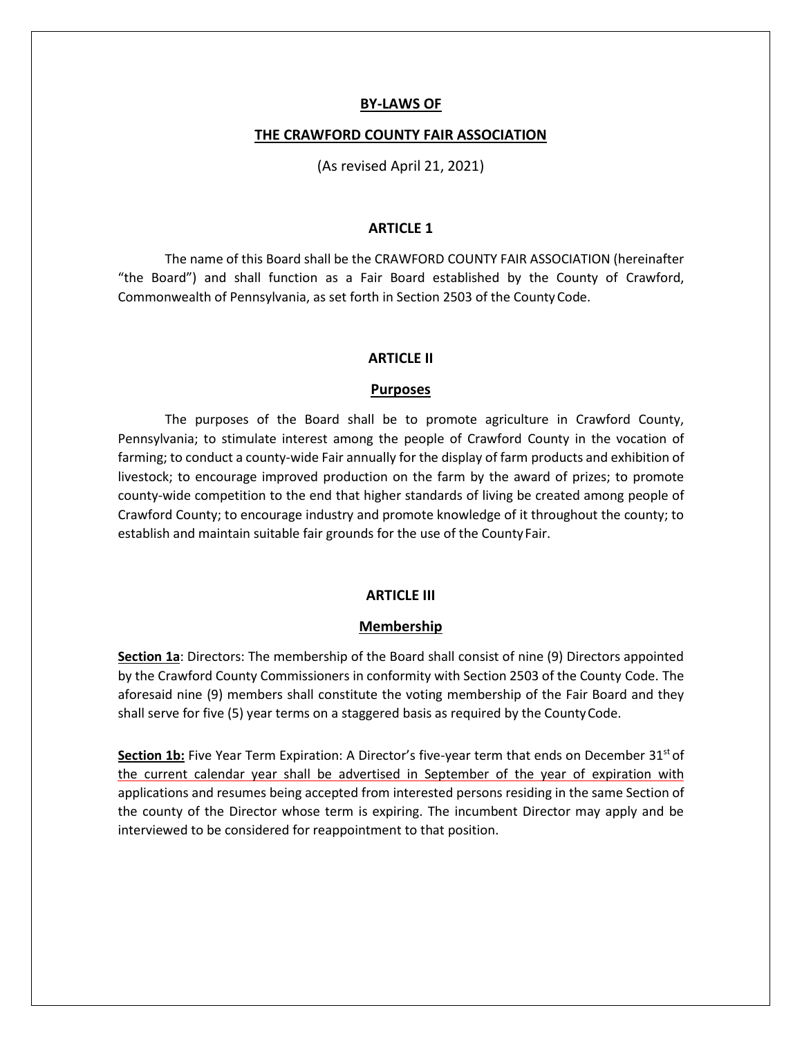### **BY-LAWS OF**

#### **THE CRAWFORD COUNTY FAIR ASSOCIATION**

(As revised April 21, 2021)

#### **ARTICLE 1**

The name of this Board shall be the CRAWFORD COUNTY FAIR ASSOCIATION (hereinafter "the Board") and shall function as a Fair Board established by the County of Crawford, Commonwealth of Pennsylvania, as set forth in Section 2503 of the CountyCode.

#### **ARTICLE II**

#### **Purposes**

The purposes of the Board shall be to promote agriculture in Crawford County, Pennsylvania; to stimulate interest among the people of Crawford County in the vocation of farming; to conduct a county-wide Fair annually for the display of farm products and exhibition of livestock; to encourage improved production on the farm by the award of prizes; to promote county-wide competition to the end that higher standards of living be created among people of Crawford County; to encourage industry and promote knowledge of it throughout the county; to establish and maintain suitable fair grounds for the use of the County Fair.

### **ARTICLE III**

### **Membership**

**Section 1a**: Directors: The membership of the Board shall consist of nine (9) Directors appointed by the Crawford County Commissioners in conformity with Section 2503 of the County Code. The aforesaid nine (9) members shall constitute the voting membership of the Fair Board and they shall serve for five (5) year terms on a staggered basis as required by the CountyCode.

Section 1b: Five Year Term Expiration: A Director's five-year term that ends on December 31<sup>st</sup> of the current calendar year shall be advertised in September of the year of expiration with applications and resumes being accepted from interested persons residing in the same Section of the county of the Director whose term is expiring. The incumbent Director may apply and be interviewed to be considered for reappointment to that position.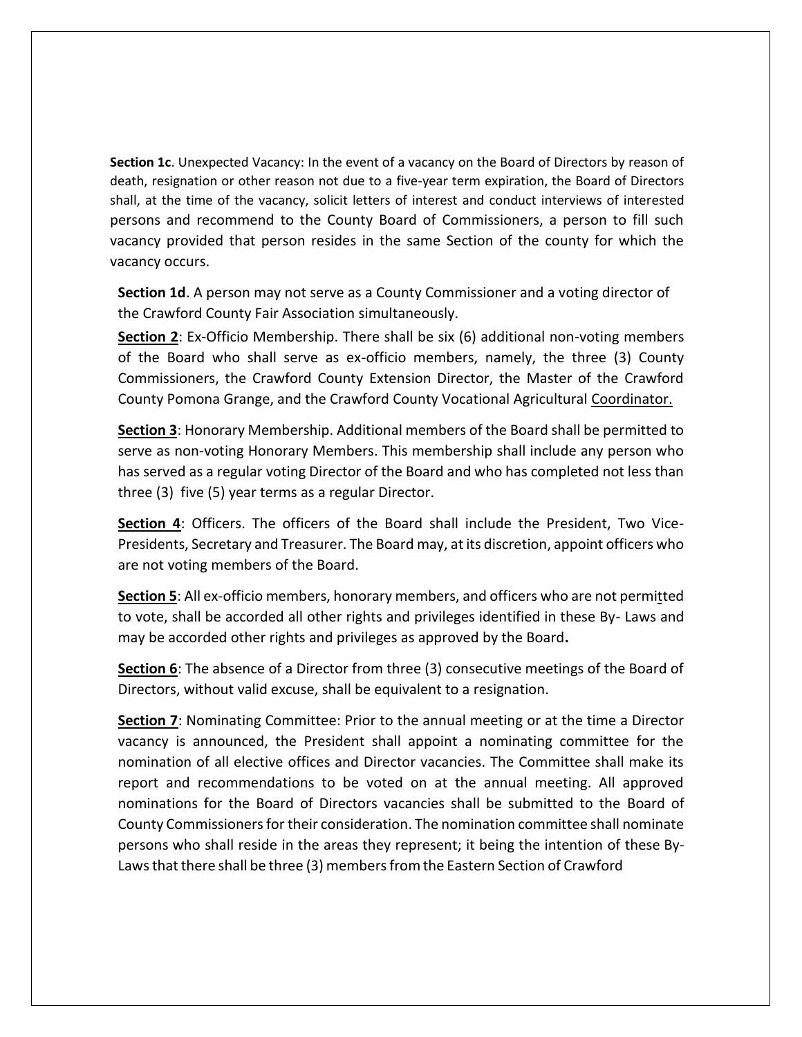**Section 1c**. Unexpected Vacancy: In the event of a vacancy on the Board of Directors by reason of death, resignation or other reason not due to a five-year term expiration, the Board of Directors shall, at the time of the vacancy, solicit letters of interest and conduct interviews of interested persons and recommend to the County Board of Commissioners, a person to fill such vacancy provided that person resides in the same Section of the county for which the vacancy occurs.

**Section 1d**. A person may not serve as a County Commissioner and a voting director of the Crawford County Fair Association simultaneously.

**Section 2**: Ex-Officio Membership. There shall be six (6) additional non-voting members of the Board who shall serve as ex-officio members, namely, the three (3) County Commissioners, the Crawford County Extension Director, the Master of the Crawford County Pomona Grange, and the Crawford County Vocational Agricultural Coordinator.

**Section 3**: Honorary Membership. Additional members of the Board shall be permitted to serve as non-voting Honorary Members. This membership shall include any person who has served as a regular voting Director of the Board and who has completed not less than three (3) five (5) year terms as a regular Director.

**Section 4**: Officers. The officers of the Board shall include the President, Two Vice-Presidents, Secretary and Treasurer. The Board may, at its discretion, appoint officers who are not voting members of the Board.

**Section 5**: All ex-officio members, honorary members, and officers who are not permitted to vote, shall be accorded all other rights and privileges identified in these By- Laws and may be accorded other rights and privileges as approved by the Board**.**

**Section 6**: The absence of a Director from three (3) consecutive meetings of the Board of Directors, without valid excuse, shall be equivalent to a resignation.

**Section 7**: Nominating Committee: Prior to the annual meeting or at the time a Director vacancy is announced, the President shall appoint a nominating committee for the nomination of all elective offices and Director vacancies. The Committee shall make its report and recommendations to be voted on at the annual meeting. All approved nominations for the Board of Directors vacancies shall be submitted to the Board of County Commissioners for their consideration. The nomination committee shall nominate persons who shall reside in the areas they represent; it being the intention of these By-Laws that there shall be three (3) members from the Eastern Section of Crawford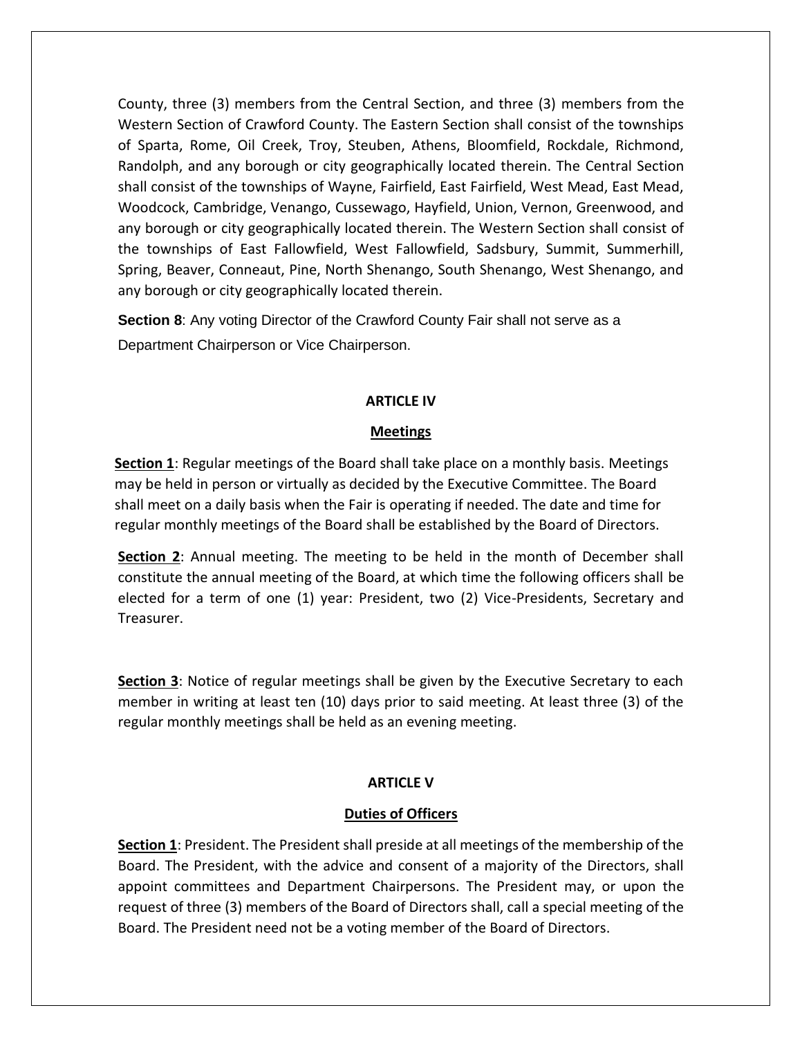County, three (3) members from the Central Section, and three (3) members from the Western Section of Crawford County. The Eastern Section shall consist of the townships of Sparta, Rome, Oil Creek, Troy, Steuben, Athens, Bloomfield, Rockdale, Richmond, Randolph, and any borough or city geographically located therein. The Central Section shall consist of the townships of Wayne, Fairfield, East Fairfield, West Mead, East Mead, Woodcock, Cambridge, Venango, Cussewago, Hayfield, Union, Vernon, Greenwood, and any borough or city geographically located therein. The Western Section shall consist of the townships of East Fallowfield, West Fallowfield, Sadsbury, Summit, Summerhill, Spring, Beaver, Conneaut, Pine, North Shenango, South Shenango, West Shenango, and any borough or city geographically located therein.

**Section 8**: Any voting Director of the Crawford County Fair shall not serve as a Department Chairperson or Vice Chairperson.

## **ARTICLE IV**

## **Meetings**

**Section 1**: Regular meetings of the Board shall take place on a monthly basis. Meetings may be held in person or virtually as decided by the Executive Committee. The Board shall meet on a daily basis when the Fair is operating if needed. The date and time for regular monthly meetings of the Board shall be established by the Board of Directors.

**Section 2**: Annual meeting. The meeting to be held in the month of December shall constitute the annual meeting of the Board, at which time the following officers shall be elected for a term of one (1) year: President, two (2) Vice-Presidents, Secretary and Treasurer.

**Section 3**: Notice of regular meetings shall be given by the Executive Secretary to each member in writing at least ten (10) days prior to said meeting. At least three (3) of the regular monthly meetings shall be held as an evening meeting.

# **ARTICLE V**

## **Duties of Officers**

**Section 1**: President. The President shall preside at all meetings of the membership of the Board. The President, with the advice and consent of a majority of the Directors, shall appoint committees and Department Chairpersons. The President may, or upon the request of three (3) members of the Board of Directors shall, call a special meeting of the Board. The President need not be a voting member of the Board of Directors.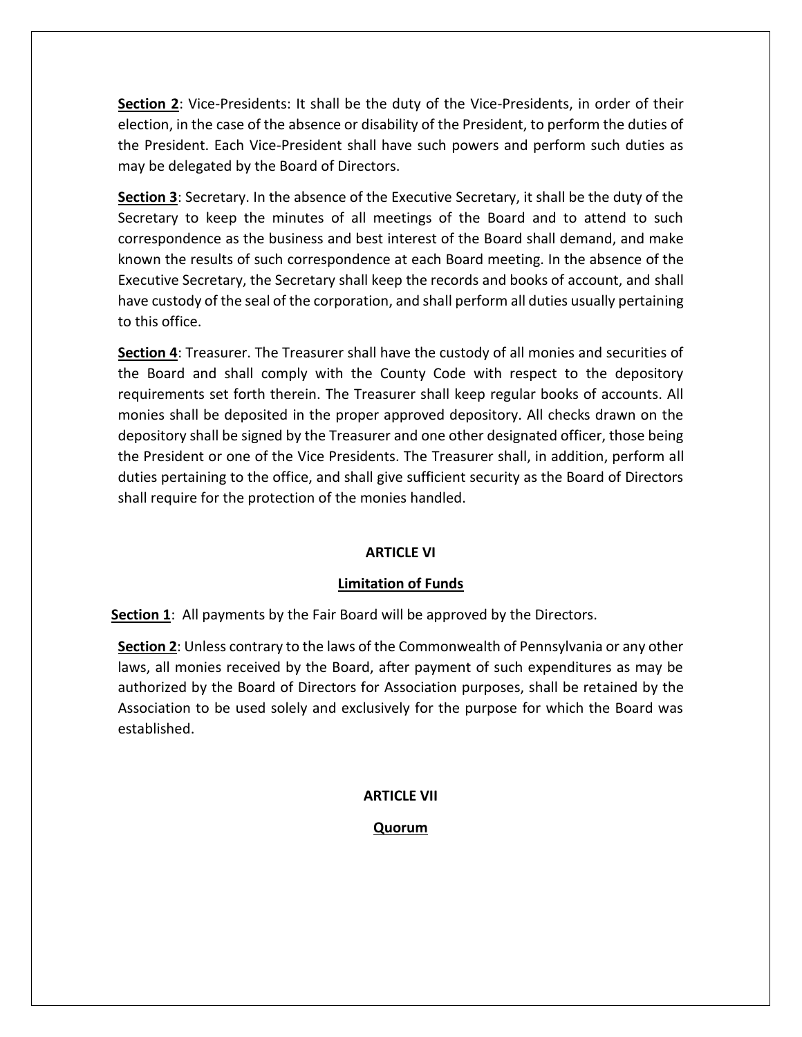**Section 2**: Vice-Presidents: It shall be the duty of the Vice-Presidents, in order of their election, in the case of the absence or disability of the President, to perform the duties of the President. Each Vice-President shall have such powers and perform such duties as may be delegated by the Board of Directors.

**Section 3**: Secretary. In the absence of the Executive Secretary, it shall be the duty of the Secretary to keep the minutes of all meetings of the Board and to attend to such correspondence as the business and best interest of the Board shall demand, and make known the results of such correspondence at each Board meeting. In the absence of the Executive Secretary, the Secretary shall keep the records and books of account, and shall have custody of the seal of the corporation, and shall perform all duties usually pertaining to this office.

**Section 4**: Treasurer. The Treasurer shall have the custody of all monies and securities of the Board and shall comply with the County Code with respect to the depository requirements set forth therein. The Treasurer shall keep regular books of accounts. All monies shall be deposited in the proper approved depository. All checks drawn on the depository shall be signed by the Treasurer and one other designated officer, those being the President or one of the Vice Presidents. The Treasurer shall, in addition, perform all duties pertaining to the office, and shall give sufficient security as the Board of Directors shall require for the protection of the monies handled.

# **ARTICLE VI**

# **Limitation of Funds**

**Section 1**: All payments by the Fair Board will be approved by the Directors.

**Section 2**: Unless contrary to the laws of the Commonwealth of Pennsylvania or any other laws, all monies received by the Board, after payment of such expenditures as may be authorized by the Board of Directors for Association purposes, shall be retained by the Association to be used solely and exclusively for the purpose for which the Board was established.

# **ARTICLE VII**

# **Quorum**